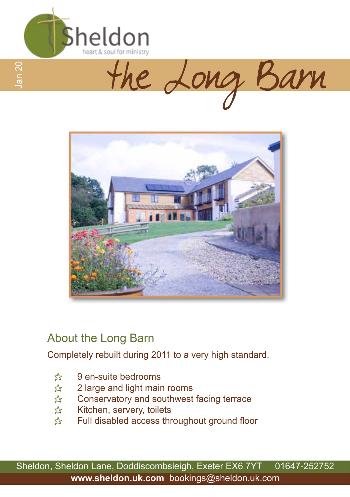





### About the Long Barn

Completely rebuilt during 2011 to a very high standard.

- $\frac{1}{2}$  9 en-suite bedrooms
- $\hat{\varphi}$  2 large and light main rooms
- $\frac{1}{22}$  Conservatory and southwest facing terrace
- $\hat{\mathbb{X}}$  Kitchen, servery, toilets
- $\hat{x}$  Full disabled access throughout ground floor

Sheldon, Sheldon Lane, Doddiscombsleigh, Exeter EX6 7YT 01647-252752 **www.sheldon.uk.com** bookings@sheldon.uk.com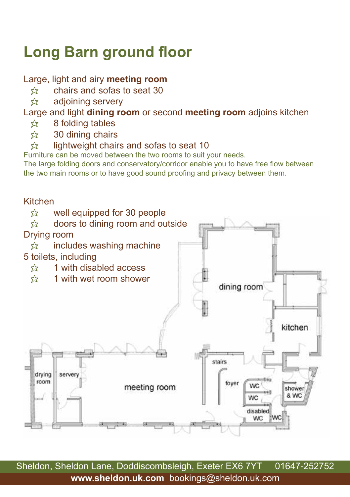## **Long Barn ground floor**

### Large, light and airy **meeting room**

- $\hat{\mathbb{X}}$  chairs and sofas to seat 30<br> $\hat{\mathbb{X}}$  adioining servery
- adjoining servery

### Large and light **dining room** or second **meeting room** adjoins kitchen

- $\approx$  8 folding tables
- $\hat{\mathcal{Z}}$  30 dining chairs<br> $\hat{\mathcal{Z}}$  lightweight chair
- lightweight chairs and sofas to seat 10

Furniture can be moved between the two rooms to suit your needs.

The large folding doors and conservatory/corridor enable you to have free flow between the two main rooms or to have good sound proofing and privacy between them.



Sheldon, Sheldon Lane, Doddiscombsleigh, Exeter EX6 7YT 01647-252752 **www.sheldon.uk.com** bookings@sheldon.uk.com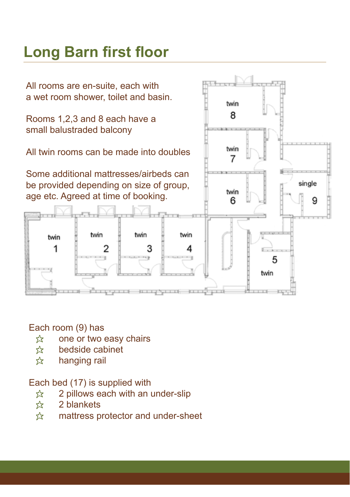### **Long Barn first floor**

All rooms are en-suite, each with a wet room shower, toilet and basin.

Rooms 1,2,3 and 8 each have a small balustraded balcony

All twin rooms can be made into doubles

Some additional mattresses/airbeds can be provided depending on size of group, age etc. Agreed at time of booking.



#### Each room (9) has

twin 1

- $\hat{x}$  one or two easy chairs
- $\hat{\mathcal{R}}$  bedside cabinet<br> $\hat{\mathcal{R}}$  hanging rail
- hanging rail

#### Each bed (17) is supplied with

- $\hat{x}$  2 pillows each with an under-slip
- $\approx$  2 blankets
- $\hat{x}$  mattress protector and under-sheet